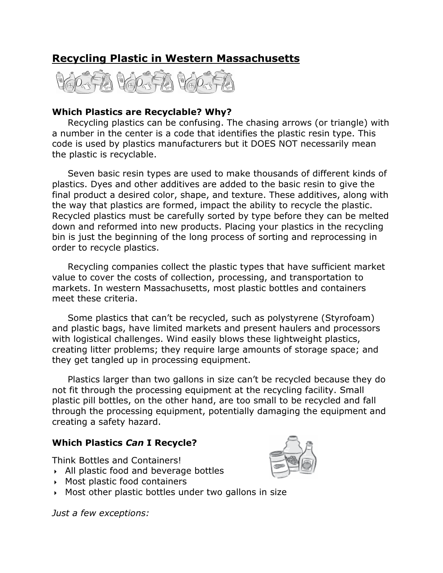# Recycling Plastic in Western Massachusetts



## Which Plastics are Recyclable? Why?

Recycling plastics can be confusing. The chasing arrows (or triangle) with a number in the center is a code that identifies the plastic resin type. This code is used by plastics manufacturers but it DOES NOT necessarily mean the plastic is recyclable.

Seven basic resin types are used to make thousands of different kinds of plastics. Dyes and other additives are added to the basic resin to give the final product a desired color, shape, and texture. These additives, along with the way that plastics are formed, impact the ability to recycle the plastic. Recycled plastics must be carefully sorted by type before they can be melted down and reformed into new products. Placing your plastics in the recycling bin is just the beginning of the long process of sorting and reprocessing in order to recycle plastics.

 Recycling companies collect the plastic types that have sufficient market value to cover the costs of collection, processing, and transportation to markets. In western Massachusetts, most plastic bottles and containers meet these criteria.

Some plastics that can't be recycled, such as polystyrene (Styrofoam) and plastic bags, have limited markets and present haulers and processors with logistical challenges. Wind easily blows these lightweight plastics, creating litter problems; they require large amounts of storage space; and they get tangled up in processing equipment.

Plastics larger than two gallons in size can't be recycled because they do not fit through the processing equipment at the recycling facility. Small plastic pill bottles, on the other hand, are too small to be recycled and fall through the processing equipment, potentially damaging the equipment and creating a safety hazard.

## Which Plastics Can I Recycle?

Think Bottles and Containers!

- All plastic food and beverage bottles
- Most plastic food containers
- Most other plastic bottles under two gallons in size

Just a few exceptions:

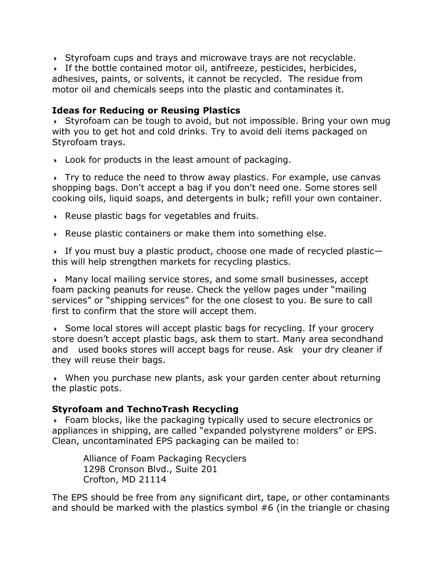$\rightarrow$  Styrofoam cups and trays and microwave trays are not recyclable.

 If the bottle contained motor oil, antifreeze, pesticides, herbicides, adhesives, paints, or solvents, it cannot be recycled. The residue from motor oil and chemicals seeps into the plastic and contaminates it.

## Ideas for Reducing or Reusing Plastics

 $\rightarrow$  Styrofoam can be tough to avoid, but not impossible. Bring your own mug with you to get hot and cold drinks. Try to avoid deli items packaged on Styrofoam trays.

Look for products in the least amount of packaging.

 $\rightarrow$  Try to reduce the need to throw away plastics. For example, use canvas shopping bags. Don't accept a bag if you don't need one. Some stores sell cooking oils, liquid soaps, and detergents in bulk; refill your own container.

- $\triangleright$  Reuse plastic bags for vegetables and fruits.
- Reuse plastic containers or make them into something else.

If you must buy a plastic product, choose one made of recycled plasticthis will help strengthen markets for recycling plastics.

 Many local mailing service stores, and some small businesses, accept foam packing peanuts for reuse. Check the yellow pages under "mailing services" or "shipping services" for the one closest to you. Be sure to call first to confirm that the store will accept them.

 $\rightarrow$  Some local stores will accept plastic bags for recycling. If your grocery store doesn't accept plastic bags, ask them to start. Many area secondhand and used books stores will accept bags for reuse. Ask your dry cleaner if they will reuse their bags.

 When you purchase new plants, ask your garden center about returning the plastic pots.

## Styrofoam and TechnoTrash Recycling

 Foam blocks, like the packaging typically used to secure electronics or appliances in shipping, are called "expanded polystyrene molders" or EPS. Clean, uncontaminated EPS packaging can be mailed to:

Alliance of Foam Packaging Recyclers 1298 Cronson Blvd., Suite 201 Crofton, MD 21114

The EPS should be free from any significant dirt, tape, or other contaminants and should be marked with the plastics symbol #6 (in the triangle or chasing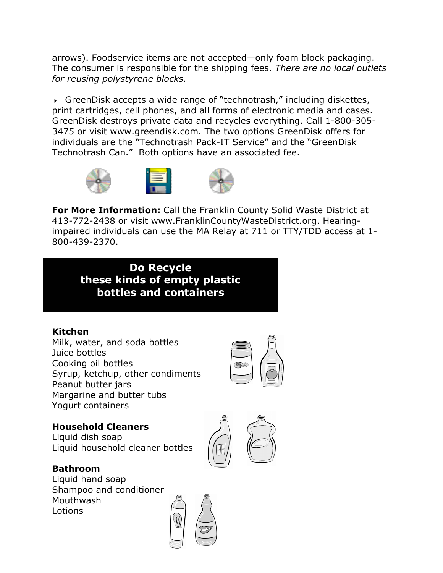arrows). Foodservice items are not accepted—only foam block packaging. The consumer is responsible for the shipping fees. There are no local outlets for reusing polystyrene blocks.

 GreenDisk accepts a wide range of "technotrash," including diskettes, print cartridges, cell phones, and all forms of electronic media and cases. GreenDisk destroys private data and recycles everything. Call 1-800-305- 3475 or visit www.greendisk.com. The two options GreenDisk offers for individuals are the "Technotrash Pack-IT Service" and the "GreenDisk Technotrash Can." Both options have an associated fee.



**For More Information:** Call the Franklin County Solid Waste District at 413-772-2438 or visit www.FranklinCountyWasteDistrict.org. Hearingimpaired individuals can use the MA Relay at 711 or TTY/TDD access at 1- 800-439-2370.

Do Recycle these kinds of empty plastic bottles and containers

## Kitchen

Milk, water, and soda bottles Juice bottles Cooking oil bottles Syrup, ketchup, other condiments Peanut butter jars Margarine and butter tubs Yogurt containers



## Household Cleaners

Liquid dish soap Liquid household cleaner bottles

Bathroom Liquid hand soap Shampoo and conditioner Mouthwash Lotions



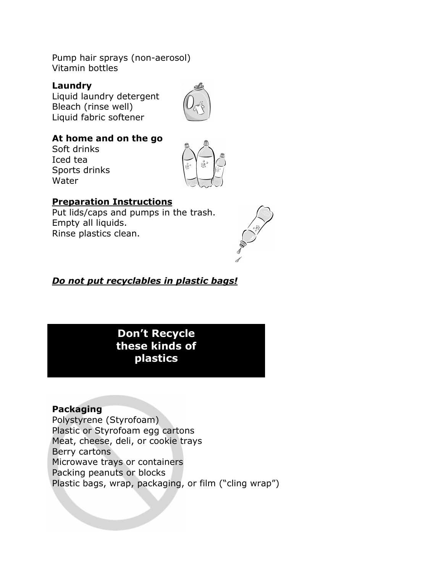Pump hair sprays (non-aerosol) Vitamin bottles

#### Laundry

Liquid laundry detergent Bleach (rinse well) Liquid fabric softener



## At home and on the go

Soft drinks Iced tea Sports drinks Water



## Preparation Instructions

Put lids/caps and pumps in the trash. Empty all liquids. Rinse plastics clean.



## Do not put recyclables in plastic bags!

## Don't Recycle these kinds of plastics

## Packaging

Polystyrene (Styrofoam) Plastic or Styrofoam egg cartons Meat, cheese, deli, or cookie trays Berry cartons Microwave trays or containers Packing peanuts or blocks Plastic bags, wrap, packaging, or film ("cling wrap")